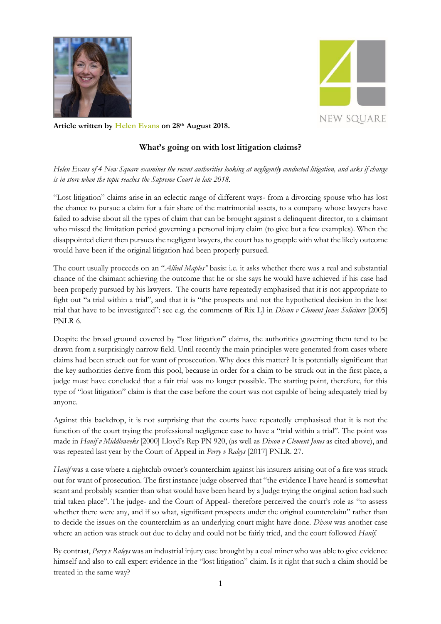



**Article written by [Helen Evans](https://www.4newsquare.com/barristers/helen-evans/) on 28th August 2018.**

## **What's going on with lost litigation claims?**

*Helen Evans of 4 New Square examines the recent authorities looking at negligently conducted litigation, and asks if change is in store when the topic reaches the Supreme Court in late 2018.* 

"Lost litigation" claims arise in an eclectic range of different ways- from a divorcing spouse who has lost the chance to pursue a claim for a fair share of the matrimonial assets, to a company whose lawyers have failed to advise about all the types of claim that can be brought against a delinquent director, to a claimant who missed the limitation period governing a personal injury claim (to give but a few examples). When the disappointed client then pursues the negligent lawyers, the court has to grapple with what the likely outcome would have been if the original litigation had been properly pursued.

The court usually proceeds on an "*Allied Maples"* basis: i.e. it asks whether there was a real and substantial chance of the claimant achieving the outcome that he or she says he would have achieved if his case had been properly pursued by his lawyers. The courts have repeatedly emphasised that it is not appropriate to fight out "a trial within a trial", and that it is "the prospects and not the hypothetical decision in the lost trial that have to be investigated": see e.g. the comments of Rix LJ in *Dixon v Clement Jones Solicitors* [2005] PNLR 6.

Despite the broad ground covered by "lost litigation" claims, the authorities governing them tend to be drawn from a surprisingly narrow field. Until recently the main principles were generated from cases where claims had been struck out for want of prosecution. Why does this matter? It is potentially significant that the key authorities derive from this pool, because in order for a claim to be struck out in the first place, a judge must have concluded that a fair trial was no longer possible. The starting point, therefore, for this type of "lost litigation" claim is that the case before the court was not capable of being adequately tried by anyone.

Against this backdrop, it is not surprising that the courts have repeatedly emphasised that it is not the function of the court trying the professional negligence case to have a "trial within a trial". The point was made in *Hanif v Middleweeks* [2000] Lloyd's Rep PN 920, (as well as *Dixon v Clement Jones* as cited above), and was repeated last year by the Court of Appeal in *Perry v Raleys* [2017] PNLR. 27.

*Hanif* was a case where a nightclub owner's counterclaim against his insurers arising out of a fire was struck out for want of prosecution. The first instance judge observed that "the evidence I have heard is somewhat scant and probably scantier than what would have been heard by a Judge trying the original action had such trial taken place". The judge- and the Court of Appeal- therefore perceived the court's role as "to assess whether there were any, and if so what, significant prospects under the original counterclaim" rather than to decide the issues on the counterclaim as an underlying court might have done. *Dixon* was another case where an action was struck out due to delay and could not be fairly tried, and the court followed *Hanif.* 

By contrast, *Perry v Raleys* was an industrial injury case brought by a coal miner who was able to give evidence himself and also to call expert evidence in the "lost litigation" claim. Is it right that such a claim should be treated in the same way?